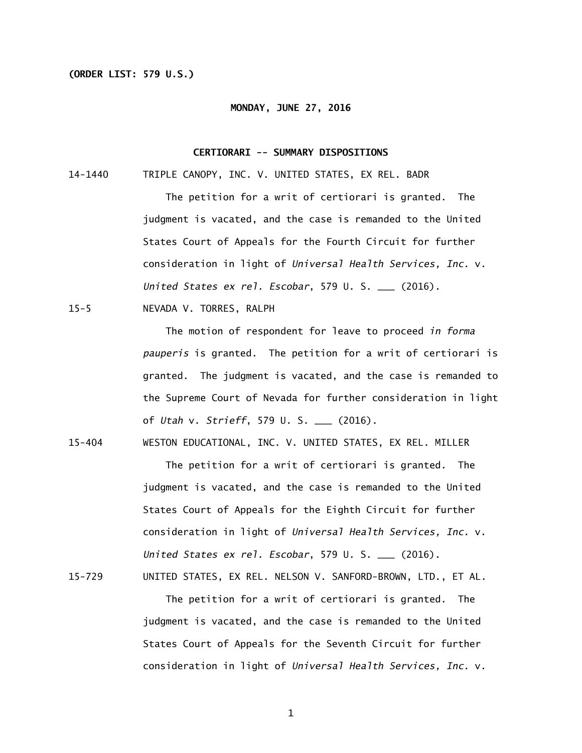### **(ORDER LIST: 579 U.S.)**

#### **MONDAY, JUNE 27, 2016**

### **CERTIORARI -- SUMMARY DISPOSITIONS**

14-1440 TRIPLE CANOPY, INC. V. UNITED STATES, EX REL. BADR

 The petition for a writ of certiorari is granted. The judgment is vacated, and the case is remanded to the United States Court of Appeals for the Fourth Circuit for further consideration in light of *Universal Health Services, Inc.* v. *United States ex rel. Escobar*, 579 U. S. \_\_\_ (2016).

15-5 NEVADA V. TORRES, RALPH

 The motion of respondent for leave to proceed *in forma pauperis* is granted. The petition for a writ of certiorari is granted. The judgment is vacated, and the case is remanded to the Supreme Court of Nevada for further consideration in light of *Utah* v. *Strieff*, 579 U. S. \_\_\_ (2016).

 $15 - 404$ WESTON EDUCATIONAL, INC. V. UNITED STATES, EX REL. MILLER

> The petition for a writ of certiorari is granted. The judgment is vacated, and the case is remanded to the United States Court of Appeals for the Eighth Circuit for further consideration in light of *Universal Health Services, Inc.* v. *United States ex rel. Escobar*, 579 U. S. \_\_\_ (2016).

15-729 UNITED STATES, EX REL. NELSON V. SANFORD-BROWN, LTD., ET AL.

 The petition for a writ of certiorari is granted. The judgment is vacated, and the case is remanded to the United States Court of Appeals for the Seventh Circuit for further consideration in light of *Universal Health Services, Inc.* v.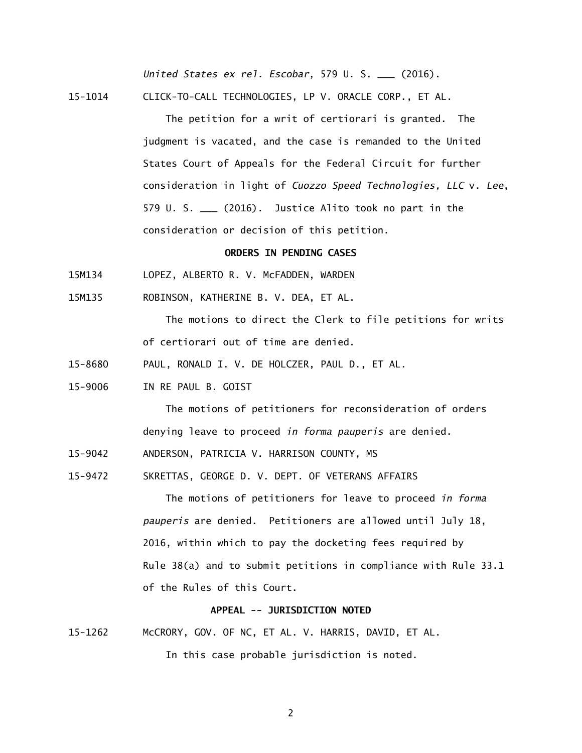*United States ex rel. Escobar*, 579 U. S. \_\_\_ (2016).

15-1014 CLICK-TO-CALL TECHNOLOGIES, LP V. ORACLE CORP., ET AL.

 The petition for a writ of certiorari is granted. The judgment is vacated, and the case is remanded to the United States Court of Appeals for the Federal Circuit for further consideration in light of *Cuozzo Speed Technologies, LLC* v. *Lee*, 579 U. S. \_\_\_ (2016). Justice Alito took no part in the consideration or decision of this petition.

# **ORDERS IN PENDING CASES**

- 15M134 LOPEZ, ALBERTO R. V. McFADDEN, WARDEN
- 15M135 ROBINSON, KATHERINE B. V. DEA, ET AL.

 The motions to direct the Clerk to file petitions for writs of certiorari out of time are denied.

- 15-8680 PAUL, RONALD I. V. DE HOLCZER, PAUL D., ET AL.
- 15-9006 IN RE PAUL B. GOIST

 The motions of petitioners for reconsideration of orders denying leave to proceed *in forma pauperis* are denied.

- 15-9042 ANDERSON, PATRICIA V. HARRISON COUNTY, MS
- 15-9472 SKRETTAS, GEORGE D. V. DEPT. OF VETERANS AFFAIRS

 The motions of petitioners for leave to proceed *in forma pauperis* are denied. Petitioners are allowed until July 18, 2016, within which to pay the docketing fees required by Rule 38(a) and to submit petitions in compliance with Rule 33.1 of the Rules of this Court.

### **APPEAL -- JURISDICTION NOTED**

15-1262 McCRORY, GOV. OF NC, ET AL. V. HARRIS, DAVID, ET AL.

In this case probable jurisdiction is noted.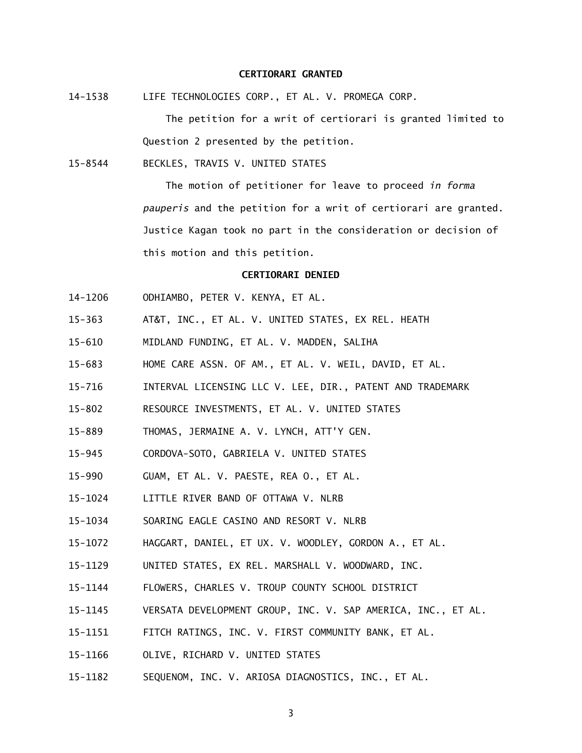### **CERTIORARI GRANTED**

14-1538 LIFE TECHNOLOGIES CORP., ET AL. V. PROMEGA CORP.

 The petition for a writ of certiorari is granted limited to Question 2 presented by the petition.

15-8544 BECKLES, TRAVIS V. UNITED STATES

 The motion of petitioner for leave to proceed *in forma pauperis* and the petition for a writ of certiorari are granted. Justice Kagan took no part in the consideration or decision of this motion and this petition.

#### **CERTIORARI DENIED**

- 14-1206 ODHIAMBO, PETER V. KENYA, ET AL.
- $15 363$ AT&T, INC., ET AL. V. UNITED STATES, EX REL. HEATH
- $15 610$ MIDLAND FUNDING, ET AL. V. MADDEN, SALIHA
- $15 683$ HOME CARE ASSN. OF AM., ET AL. V. WEIL, DAVID, ET AL.
- $15 716$ INTERVAL LICENSING LLC V. LEE, DIR., PATENT AND TRADEMARK
- $15 802$ RESOURCE INVESTMENTS, ET AL. V. UNITED STATES
- $15 889$ THOMAS, JERMAINE A. V. LYNCH, ATT'Y GEN.
- $15 945$ 15-945 CORDOVA-SOTO, GABRIELA V. UNITED STATES
- $15 990$ GUAM, ET AL. V. PAESTE, REA O., ET AL.
- 15-1024 LITTLE RIVER BAND OF OTTAWA V. NLRB
- 15-1034 SOARING EAGLE CASINO AND RESORT V. NLRB
- 15-1072 HAGGART, DANIEL, ET UX. V. WOODLEY, GORDON A., ET AL.
- 15-1129 UNITED STATES, EX REL. MARSHALL V. WOODWARD, INC.
- 15-1144 FLOWERS, CHARLES V. TROUP COUNTY SCHOOL DISTRICT
- 15-1145 VERSATA DEVELOPMENT GROUP, INC. V. SAP AMERICA, INC., ET AL.
- 15-1151 FITCH RATINGS, INC. V. FIRST COMMUNITY BANK, ET AL.
- 15-1166 OLIVE, RICHARD V. UNITED STATES
- 15-1182 SEQUENOM, INC. V. ARIOSA DIAGNOSTICS, INC., ET AL.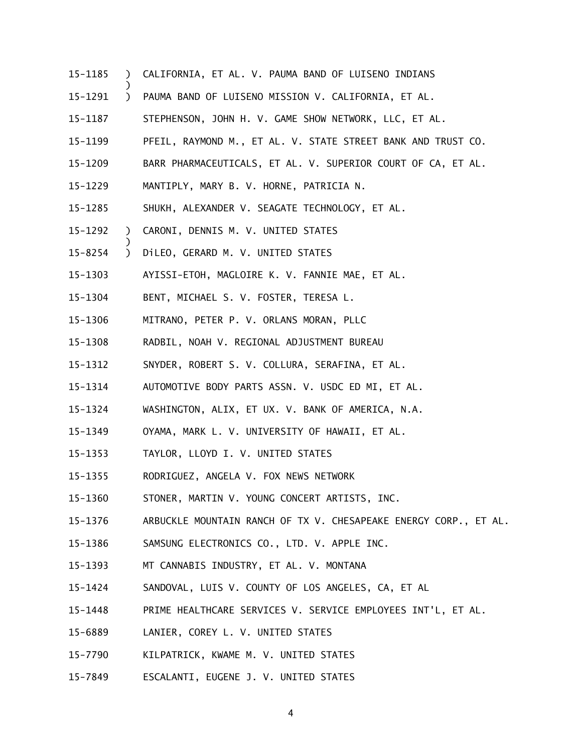- 15-1185 ) CALIFORNIA, ET AL. V. PAUMA BAND OF LUISENO INDIANS
- 15-1291 ) PAUMA BAND OF LUISENO MISSION V. CALIFORNIA, ET AL.
- 15-1187 STEPHENSON, JOHN H. V. GAME SHOW NETWORK, LLC, ET AL.
- 15-1199 PFEIL, RAYMOND M., ET AL. V. STATE STREET BANK AND TRUST CO.
- 15-1209 BARR PHARMACEUTICALS, ET AL. V. SUPERIOR COURT OF CA, ET AL.
- 15-1229 MANTIPLY, MARY B. V. HORNE, PATRICIA N.
- 15-1285 SHUKH, ALEXANDER V. SEAGATE TECHNOLOGY, ET AL.
- 15-1292 ) CARONI, DENNIS M. V. UNITED STATES

)

)

- 15-8254 ) DiLEO, GERARD M. V. UNITED STATES
- 15-1303 AYISSI-ETOH, MAGLOIRE K. V. FANNIE MAE, ET AL.
- 15-1304 BENT, MICHAEL S. V. FOSTER, TERESA L.
- 15-1306 MITRANO, PETER P. V. ORLANS MORAN, PLLC
- 15-1308 RADBIL, NOAH V. REGIONAL ADJUSTMENT BUREAU
- 15-1312 SNYDER, ROBERT S. V. COLLURA, SERAFINA, ET AL.
- 15-1314 AUTOMOTIVE BODY PARTS ASSN. V. USDC ED MI, ET AL.
- 15-1324 WASHINGTON, ALIX, ET UX. V. BANK OF AMERICA, N.A.
- 15-1349 OYAMA, MARK L. V. UNIVERSITY OF HAWAII, ET AL.
- 15-1353 TAYLOR, LLOYD I. V. UNITED STATES
- 15-1355 RODRIGUEZ, ANGELA V. FOX NEWS NETWORK
- 15-1360 STONER, MARTIN V. YOUNG CONCERT ARTISTS, INC.
- 15-1376 ARBUCKLE MOUNTAIN RANCH OF TX V. CHESAPEAKE ENERGY CORP., ET AL.
- 15-1386 SAMSUNG ELECTRONICS CO., LTD. V. APPLE INC.
- 15-1393 MT CANNABIS INDUSTRY, ET AL. V. MONTANA
- 15-1424 SANDOVAL, LUIS V. COUNTY OF LOS ANGELES, CA, ET AL
- 15-1448 PRIME HEALTHCARE SERVICES V. SERVICE EMPLOYEES INT'L, ET AL.
- 15-6889 LANIER, COREY L. V. UNITED STATES
- 15-7790 KILPATRICK, KWAME M. V. UNITED STATES
- 15-7849 ESCALANTI, EUGENE J. V. UNITED STATES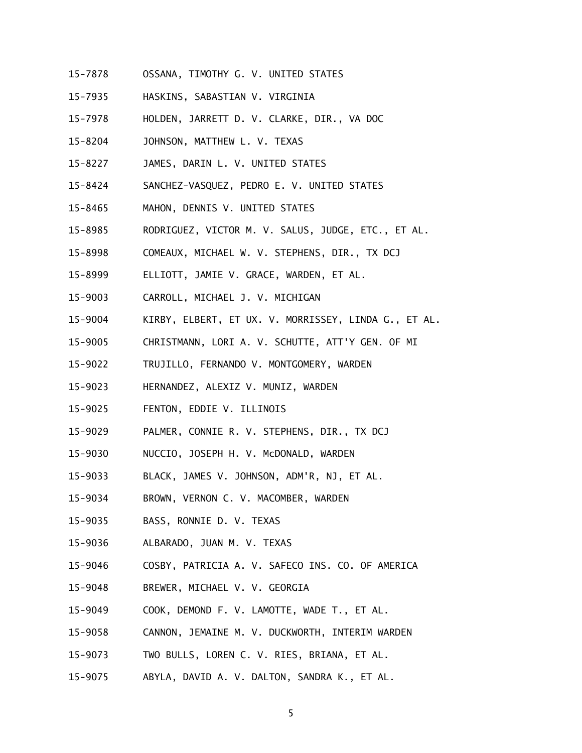- 15-7878 OSSANA, TIMOTHY G. V. UNITED STATES
- 15-7935 HASKINS, SABASTIAN V. VIRGINIA
- 15-7978 HOLDEN, JARRETT D. V. CLARKE, DIR., VA DOC
- 15-8204 JOHNSON, MATTHEW L. V. TEXAS
- 15-8227 JAMES, DARIN L. V. UNITED STATES
- 15-8424 SANCHEZ-VASQUEZ, PEDRO E. V. UNITED STATES
- $15 8465$ MAHON, DENNIS V. UNITED STATES
- 15-8985 RODRIGUEZ, VICTOR M. V. SALUS, JUDGE, ETC., ET AL.
- 15-8998 COMEAUX, MICHAEL W. V. STEPHENS, DIR., TX DCJ
- 15-8999 ELLIOTT, JAMIE V. GRACE, WARDEN, ET AL.
- 15-9003 CARROLL, MICHAEL J. V. MICHIGAN
- 15-9004 KIRBY, ELBERT, ET UX. V. MORRISSEY, LINDA G., ET AL.
- 15-9005 CHRISTMANN, LORI A. V. SCHUTTE, ATT'Y GEN. OF MI
- 15-9022 TRUJILLO, FERNANDO V. MONTGOMERY, WARDEN
- 15-9023 HERNANDEZ, ALEXIZ V. MUNIZ, WARDEN
- 15-9025 FENTON, EDDIE V. ILLINOIS
- 15-9029 PALMER, CONNIE R. V. STEPHENS, DIR., TX DCJ
- 15-9030 NUCCIO, JOSEPH H. V. McDONALD, WARDEN
- 15-9033 BLACK, JAMES V. JOHNSON, ADM'R, NJ, ET AL.
- 15-9034 BROWN, VERNON C. V. MACOMBER, WARDEN
- 15-9035 BASS, RONNIE D. V. TEXAS
- 15-9036 ALBARADO, JUAN M. V. TEXAS
- 15-9046 COSBY, PATRICIA A. V. SAFECO INS. CO. OF AMERICA
- 15-9048 BREWER, MICHAEL V. V. GEORGIA
- 15-9049 COOK, DEMOND F. V. LAMOTTE, WADE T., ET AL.
- 15-9058 CANNON, JEMAINE M. V. DUCKWORTH, INTERIM WARDEN
- 15-9073 TWO BULLS, LOREN C. V. RIES, BRIANA, ET AL.
- 15-9075 ABYLA, DAVID A. V. DALTON, SANDRA K., ET AL.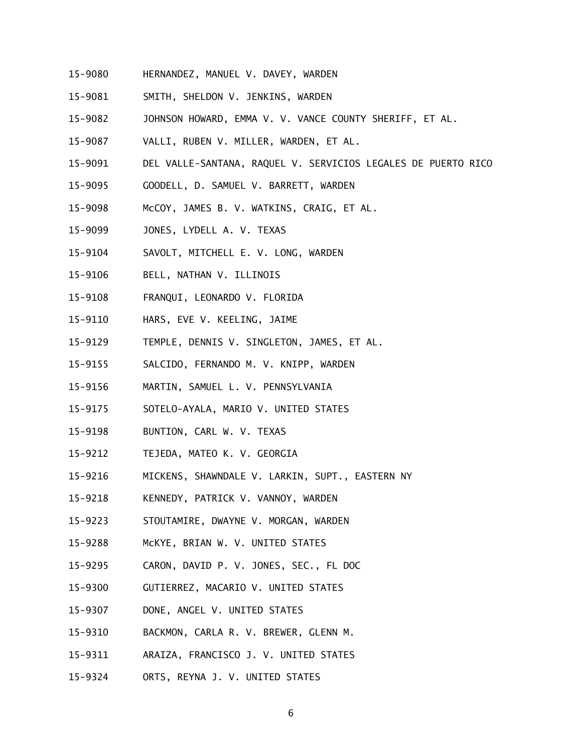- 15-9080 HERNANDEZ, MANUEL V. DAVEY, WARDEN
- 15-9081 SMITH, SHELDON V. JENKINS, WARDEN
- 15-9082 JOHNSON HOWARD, EMMA V. V. VANCE COUNTY SHERIFF, ET AL.
- 15-9087 VALLI, RUBEN V. MILLER, WARDEN, ET AL.
- 15-9091 DEL VALLE-SANTANA, RAQUEL V. SERVICIOS LEGALES DE PUERTO RICO
- 15-9095 GOODELL, D. SAMUEL V. BARRETT, WARDEN
- 15-9098 McCOY, JAMES B. V. WATKINS, CRAIG, ET AL.
- 15-9099 JONES, LYDELL A. V. TEXAS
- 15-9104 SAVOLT, MITCHELL E. V. LONG, WARDEN
- 15-9106 BELL, NATHAN V. ILLINOIS
- 15-9108 15-9108 FRANQUI, LEONARDO V. FLORIDA
- 15-9110 HARS, EVE V. KEELING, JAIME
- 15-9129 TEMPLE, DENNIS V. SINGLETON, JAMES, ET AL.
- 15-9155 15-9155 SALCIDO, FERNANDO M. V. KNIPP, WARDEN
- 15-9156 MARTIN, SAMUEL L. V. PENNSYLVANIA
- 15-9175 SOTELO-AYALA, MARIO V. UNITED STATES
- 15-9198 BUNTION, CARL W. V. TEXAS
- 15-9212 TEJEDA, MATEO K. V. GEORGIA
- 15-9216 MICKENS, SHAWNDALE V. LARKIN, SUPT., EASTERN NY
- 15-9218 KENNEDY, PATRICK V. VANNOY, WARDEN
- 15-9223 STOUTAMIRE, DWAYNE V. MORGAN, WARDEN
- 15-9288 McKYE, BRIAN W. V. UNITED STATES
- 15-9295 CARON, DAVID P. V. JONES, SEC., FL DOC
- 15-9300 GUTIERREZ, MACARIO V. UNITED STATES
- 15-9307 DONE, ANGEL V. UNITED STATES
- 15-9310 BACKMON, CARLA R. V. BREWER, GLENN M.
- 15-9311 15-9311 ARAIZA, FRANCISCO J. V. UNITED STATES
- 15-9324 ORTS, REYNA J. V. UNITED STATES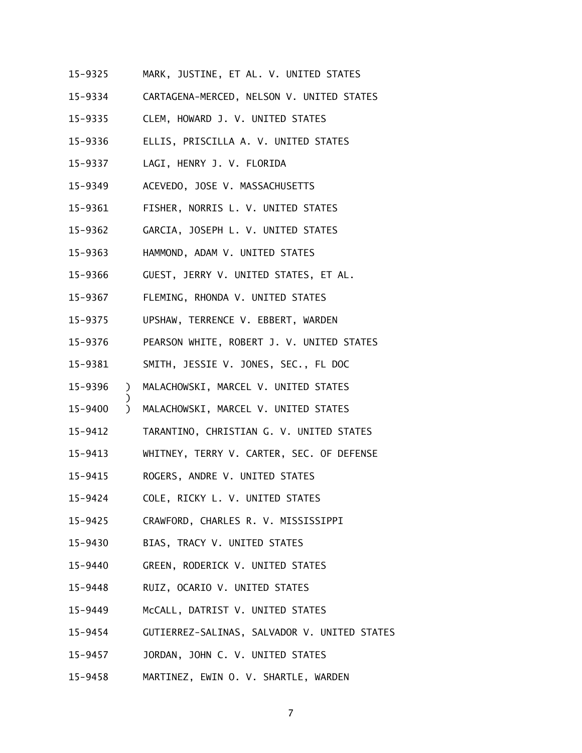- 15-9325 MARK, JUSTINE, ET AL. V. UNITED STATES
- 15-9334 CARTAGENA-MERCED, NELSON V. UNITED STATES
- 15-9335 CLEM, HOWARD J. V. UNITED STATES
- 15-9336 ELLIS, PRISCILLA A. V. UNITED STATES
- 15-9337 LAGI, HENRY J. V. FLORIDA
- 15-9349 ACEVEDO, JOSE V. MASSACHUSETTS
- 15-9361 FISHER, NORRIS L. V. UNITED STATES
- 15-9362 GARCIA, JOSEPH L. V. UNITED STATES
- 15-9363 HAMMOND, ADAM V. UNITED STATES
- 15-9366 GUEST, JERRY V. UNITED STATES, ET AL.
- 15-9367 FLEMING, RHONDA V. UNITED STATES
- 15-9375 UPSHAW, TERRENCE V. EBBERT, WARDEN
- 15-9376 PEARSON WHITE, ROBERT J. V. UNITED STATES
- 15-9381 SMITH, JESSIE V. JONES, SEC., FL DOC
- 15-9396 ) MALACHOWSKI, MARCEL V. UNITED STATES
- 15-9400 ) MALACHOWSKI, MARCEL V. UNITED STATES
- 15-9412 TARANTINO, CHRISTIAN G. V. UNITED STATES
- 15-9413 WHITNEY, TERRY V. CARTER, SEC. OF DEFENSE
- 15-9415 ROGERS, ANDRE V. UNITED STATES

)

- 15-9424 COLE, RICKY L. V. UNITED STATES
- 15-9425 CRAWFORD, CHARLES R. V. MISSISSIPPI
- 15-9430 BIAS, TRACY V. UNITED STATES
- 15-9440 GREEN, RODERICK V. UNITED STATES
- 15-9448 RUIZ, OCARIO V. UNITED STATES
- 15-9449 McCALL, DATRIST V. UNITED STATES
- 15-9454 GUTIERREZ-SALINAS, SALVADOR V. UNITED STATES
- $15 9457$ JORDAN, JOHN C. V. UNITED STATES
- 15-9458 MARTINEZ, EWIN O. V. SHARTLE, WARDEN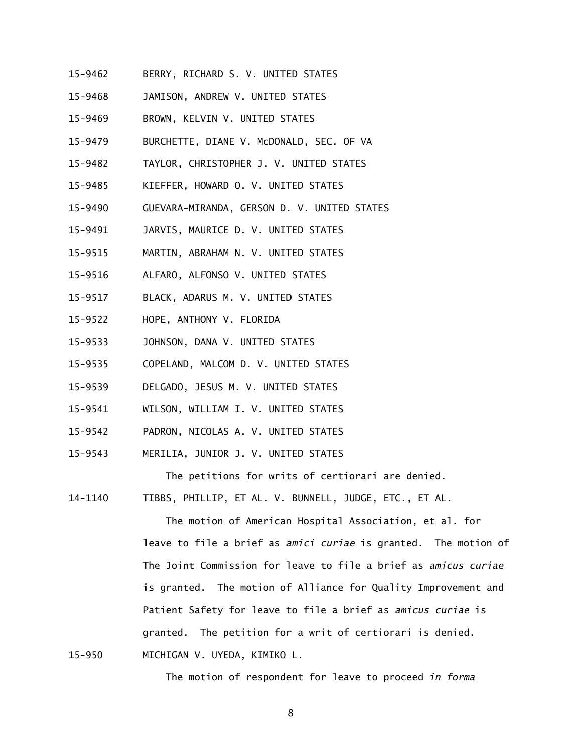- 15-9462 BERRY, RICHARD S. V. UNITED STATES
- 15-9468 JAMISON, ANDREW V. UNITED STATES
- $15 9469$ BROWN, KELVIN V. UNITED STATES
- 15-9479 BURCHETTE, DIANE V. McDONALD, SEC. OF VA
- 15-9482 TAYLOR, CHRISTOPHER J. V. UNITED STATES
- 15-9485 KIEFFER, HOWARD O. V. UNITED STATES
- 15-9490 GUEVARA-MIRANDA, GERSON D. V. UNITED STATES
- 15-9491 JARVIS, MAURICE D. V. UNITED STATES
- 15-9515 MARTIN, ABRAHAM N. V. UNITED STATES
- 15-9516 ALFARO, ALFONSO V. UNITED STATES
- 15-9517 BLACK, ADARUS M. V. UNITED STATES
- 15-9522 HOPE, ANTHONY V. FLORIDA

 $15 - 950$ 

- 15-9533 JOHNSON, DANA V. UNITED STATES
- 15-9535 COPELAND, MALCOM D. V. UNITED STATES
- 15-9539 DELGADO, JESUS M. V. UNITED STATES
- 15-9541 WILSON, WILLIAM I. V. UNITED STATES
- 15-9542 PADRON, NICOLAS A. V. UNITED STATES
- 15-9543 MERILIA, JUNIOR J. V. UNITED STATES

The petitions for writs of certiorari are denied.

14-1140 TIBBS, PHILLIP, ET AL. V. BUNNELL, JUDGE, ETC., ET AL.

 The motion of American Hospital Association, et al. for leave to file a brief as *amici curiae* is granted. The motion of The Joint Commission for leave to file a brief as *amicus curiae*  is granted. The motion of Alliance for Quality Improvement and Patient Safety for leave to file a brief as *amicus curiae* is granted. The petition for a writ of certiorari is denied. MICHIGAN V. UYEDA, KIMIKO L.

The motion of respondent for leave to proceed *in forma*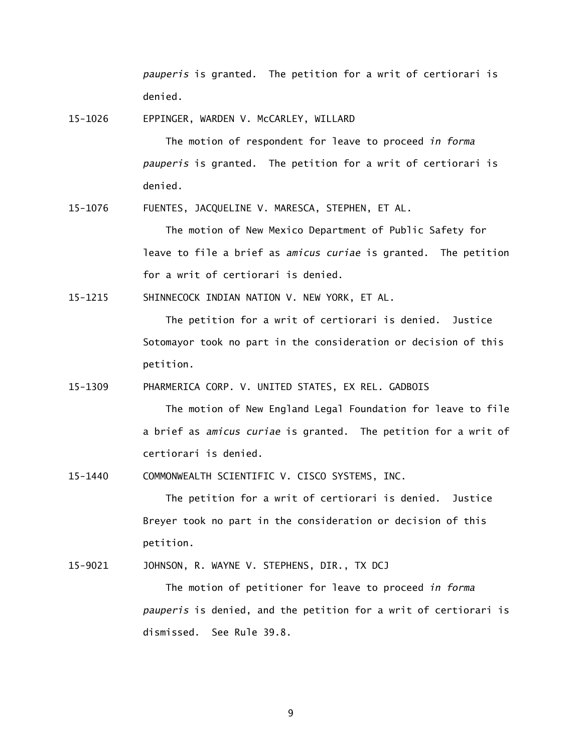*pauperis* is granted. The petition for a writ of certiorari is denied.

15-1026 EPPINGER, WARDEN V. McCARLEY, WILLARD

 The motion of respondent for leave to proceed *in forma pauperis* is granted. The petition for a writ of certiorari is denied.

15-1076 FUENTES, JACQUELINE V. MARESCA, STEPHEN, ET AL.

 The motion of New Mexico Department of Public Safety for leave to file a brief as *amicus curiae* is granted. The petition for a writ of certiorari is denied.

15-1215 SHINNECOCK INDIAN NATION V. NEW YORK, ET AL.

 The petition for a writ of certiorari is denied. Justice Sotomayor took no part in the consideration or decision of this petition.

15-1309 PHARMERICA CORP. V. UNITED STATES, EX REL. GADBOIS

 The motion of New England Legal Foundation for leave to file a brief as *amicus curiae* is granted. The petition for a writ of certiorari is denied.

15-1440 COMMONWEALTH SCIENTIFIC V. CISCO SYSTEMS, INC.

 The petition for a writ of certiorari is denied. Justice Breyer took no part in the consideration or decision of this petition.

15-9021 JOHNSON, R. WAYNE V. STEPHENS, DIR., TX DCJ

 The motion of petitioner for leave to proceed *in forma pauperis* is denied, and the petition for a writ of certiorari is dismissed. See Rule 39.8.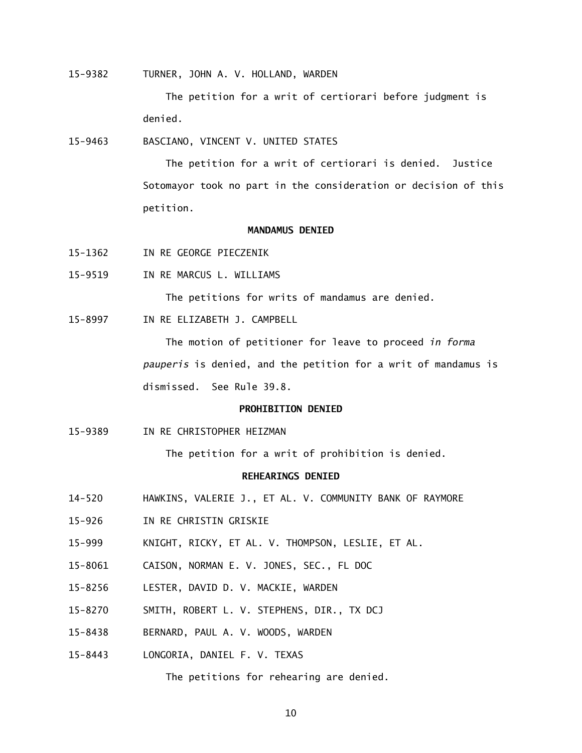15-9382 TURNER, JOHN A. V. HOLLAND, WARDEN

 The petition for a writ of certiorari before judgment is denied.

15-9463 BASCIANO, VINCENT V. UNITED STATES

 The petition for a writ of certiorari is denied. Justice Sotomayor took no part in the consideration or decision of this petition.

# **MANDAMUS DENIED**

- 15-1362 IN RE GEORGE PIECZENIK
- 15-9519 IN RE MARCUS L. WILLIAMS

The petitions for writs of mandamus are denied.

15-8997 IN RE ELIZABETH J. CAMPBELL

 The motion of petitioner for leave to proceed *in forma pauperis* is denied, and the petition for a writ of mandamus is dismissed. See Rule 39.8.

### **PROHIBITION DENIED**

15-9389 IN RE CHRISTOPHER HEIZMAN

The petition for a writ of prohibition is denied.

# **REHEARINGS DENIED**

- $14 520$ HAWKINS, VALERIE J., ET AL. V. COMMUNITY BANK OF RAYMORE
- $15 926$ IN RE CHRISTIN GRISKIE
- $15 999$ KNIGHT, RICKY, ET AL. V. THOMPSON, LESLIE, ET AL.
- 15-8061 CAISON, NORMAN E. V. JONES, SEC., FL DOC
- 15-8256 LESTER, DAVID D. V. MACKIE, WARDEN
- 15-8270 SMITH, ROBERT L. V. STEPHENS, DIR., TX DCJ
- 15-8438 BERNARD, PAUL A. V. WOODS, WARDEN
- 15-8443 LONGORIA, DANIEL F. V. TEXAS

The petitions for rehearing are denied.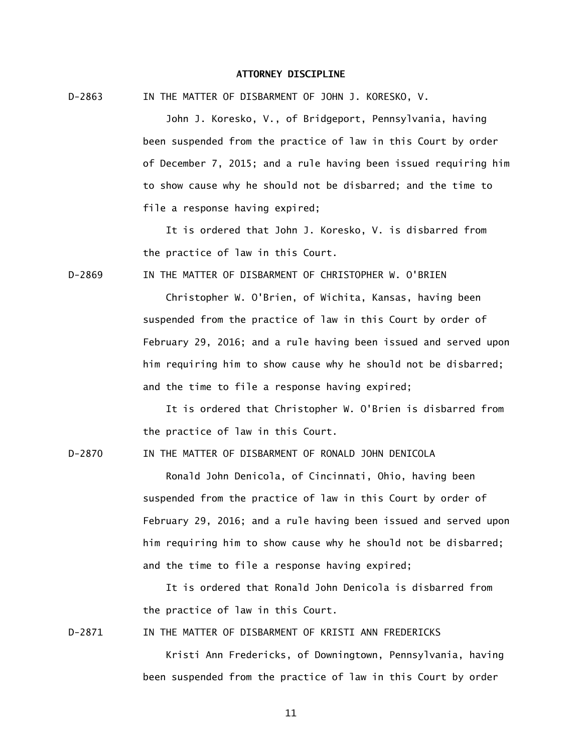### **ATTORNEY DISCIPLINE**

 $D - 2863$ IN THE MATTER OF DISBARMENT OF JOHN J. KORESKO, V.

> John J. Koresko, V., of Bridgeport, Pennsylvania, having been suspended from the practice of law in this Court by order of December 7, 2015; and a rule having been issued requiring him to show cause why he should not be disbarred; and the time to file a response having expired;

 It is ordered that John J. Koresko, V. is disbarred from the practice of law in this Court.

 $D - 2869$ IN THE MATTER OF DISBARMENT OF CHRISTOPHER W. O'BRIEN

> Christopher W. O'Brien, of Wichita, Kansas, having been suspended from the practice of law in this Court by order of February 29, 2016; and a rule having been issued and served upon him requiring him to show cause why he should not be disbarred; and the time to file a response having expired;

 It is ordered that Christopher W. O'Brien is disbarred from the practice of law in this Court.

 $D - 2870$ IN THE MATTER OF DISBARMENT OF RONALD JOHN DENICOLA

> Ronald John Denicola, of Cincinnati, Ohio, having been suspended from the practice of law in this Court by order of February 29, 2016; and a rule having been issued and served upon him requiring him to show cause why he should not be disbarred; and the time to file a response having expired;

 It is ordered that Ronald John Denicola is disbarred from the practice of law in this Court.

 $D-2871$ IN THE MATTER OF DISBARMENT OF KRISTI ANN FREDERICKS

> Kristi Ann Fredericks, of Downingtown, Pennsylvania, having been suspended from the practice of law in this Court by order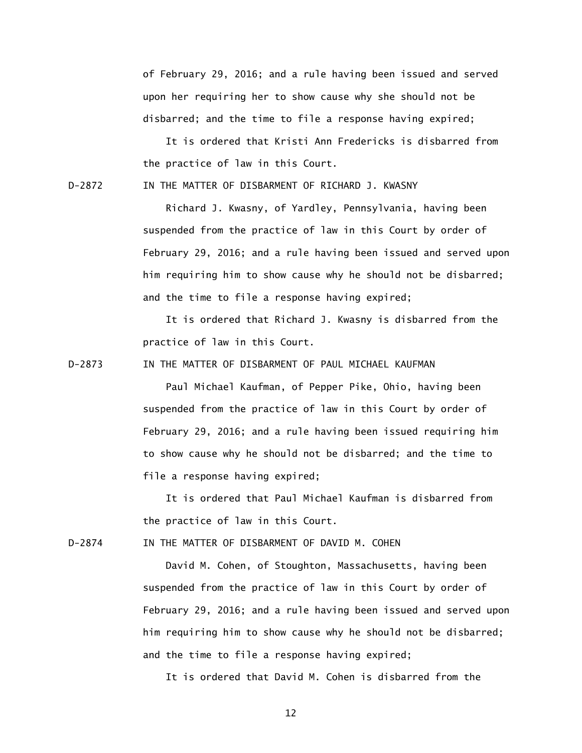of February 29, 2016; and a rule having been issued and served upon her requiring her to show cause why she should not be disbarred; and the time to file a response having expired;

 It is ordered that Kristi Ann Fredericks is disbarred from the practice of law in this Court.

D-2872 IN THE MATTER OF DISBARMENT OF RICHARD J. KWASNY

 Richard J. Kwasny, of Yardley, Pennsylvania, having been suspended from the practice of law in this Court by order of February 29, 2016; and a rule having been issued and served upon him requiring him to show cause why he should not be disbarred; and the time to file a response having expired;

 It is ordered that Richard J. Kwasny is disbarred from the practice of law in this Court.

 $D - 2873$ IN THE MATTER OF DISBARMENT OF PAUL MICHAEL KAUFMAN

> Paul Michael Kaufman, of Pepper Pike, Ohio, having been suspended from the practice of law in this Court by order of February 29, 2016; and a rule having been issued requiring him to show cause why he should not be disbarred; and the time to file a response having expired;

 It is ordered that Paul Michael Kaufman is disbarred from the practice of law in this Court.

 $D - 2874$ IN THE MATTER OF DISBARMENT OF DAVID M. COHEN

> David M. Cohen, of Stoughton, Massachusetts, having been suspended from the practice of law in this Court by order of February 29, 2016; and a rule having been issued and served upon him requiring him to show cause why he should not be disbarred; and the time to file a response having expired;

It is ordered that David M. Cohen is disbarred from the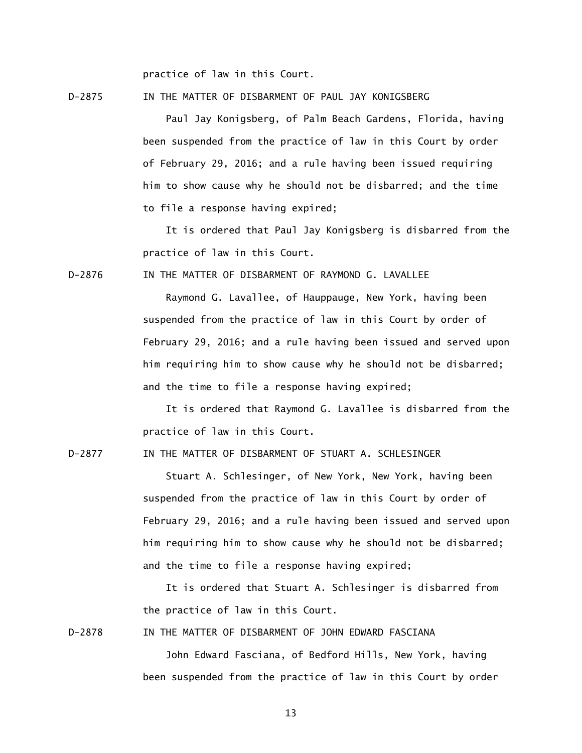practice of law in this Court.

D-2875 IN THE MATTER OF DISBARMENT OF PAUL JAY KONIGSBERG

 Paul Jay Konigsberg, of Palm Beach Gardens, Florida, having been suspended from the practice of law in this Court by order of February 29, 2016; and a rule having been issued requiring him to show cause why he should not be disbarred; and the time to file a response having expired;

 It is ordered that Paul Jay Konigsberg is disbarred from the practice of law in this Court.

 $D-2876$ IN THE MATTER OF DISBARMENT OF RAYMOND G. LAVALLEE

> Raymond G. Lavallee, of Hauppauge, New York, having been suspended from the practice of law in this Court by order of February 29, 2016; and a rule having been issued and served upon him requiring him to show cause why he should not be disbarred; and the time to file a response having expired;

> It is ordered that Raymond G. Lavallee is disbarred from the practice of law in this Court.

 $D-2877$ IN THE MATTER OF DISBARMENT OF STUART A. SCHLESINGER

> Stuart A. Schlesinger, of New York, New York, having been suspended from the practice of law in this Court by order of February 29, 2016; and a rule having been issued and served upon him requiring him to show cause why he should not be disbarred; and the time to file a response having expired;

 It is ordered that Stuart A. Schlesinger is disbarred from the practice of law in this Court.

D-2878 IN THE MATTER OF DISBARMENT OF JOHN EDWARD FASCIANA

 John Edward Fasciana, of Bedford Hills, New York, having been suspended from the practice of law in this Court by order